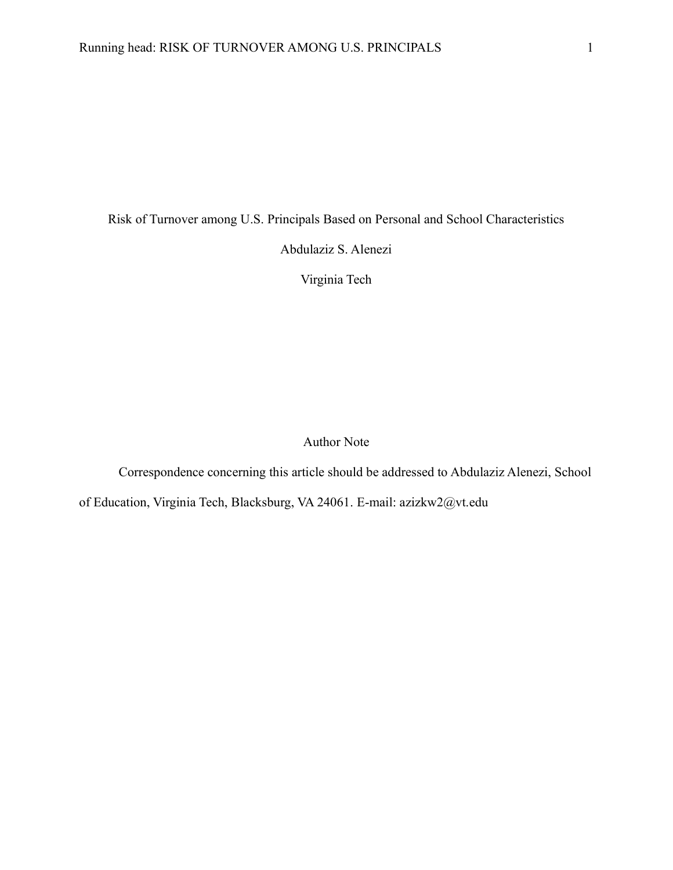Risk of Turnover among U.S. Principals Based on Personal and School Characteristics

Abdulaziz S. Alenezi

Virginia Tech

Author Note

Correspondence concerning this article should be addressed to Abdulaziz Alenezi, School

of Education, Virginia Tech, Blacksburg, VA 24061. E-mail: azizkw2@vt.edu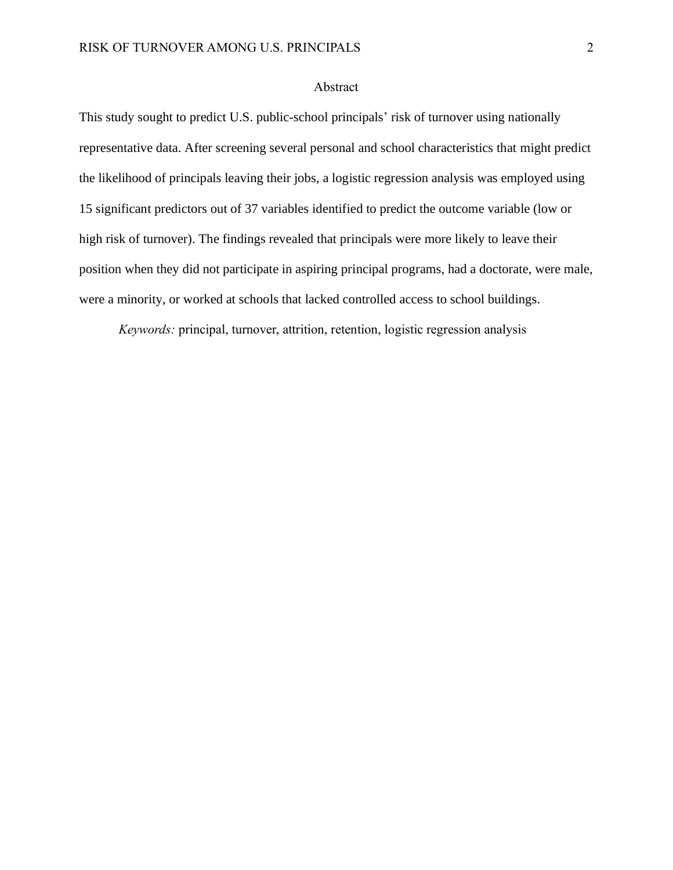## Abstract

This study sought to predict U.S. public-school principals' risk of turnover using nationally representative data. After screening several personal and school characteristics that might predict the likelihood of principals leaving their jobs, a logistic regression analysis was employed using 15 significant predictors out of 37 variables identified to predict the outcome variable (low or high risk of turnover). The findings revealed that principals were more likely to leave their position when they did not participate in aspiring principal programs, had a doctorate, were male, were a minority, or worked at schools that lacked controlled access to school buildings.

*Keywords:* principal, turnover, attrition, retention, logistic regression analysis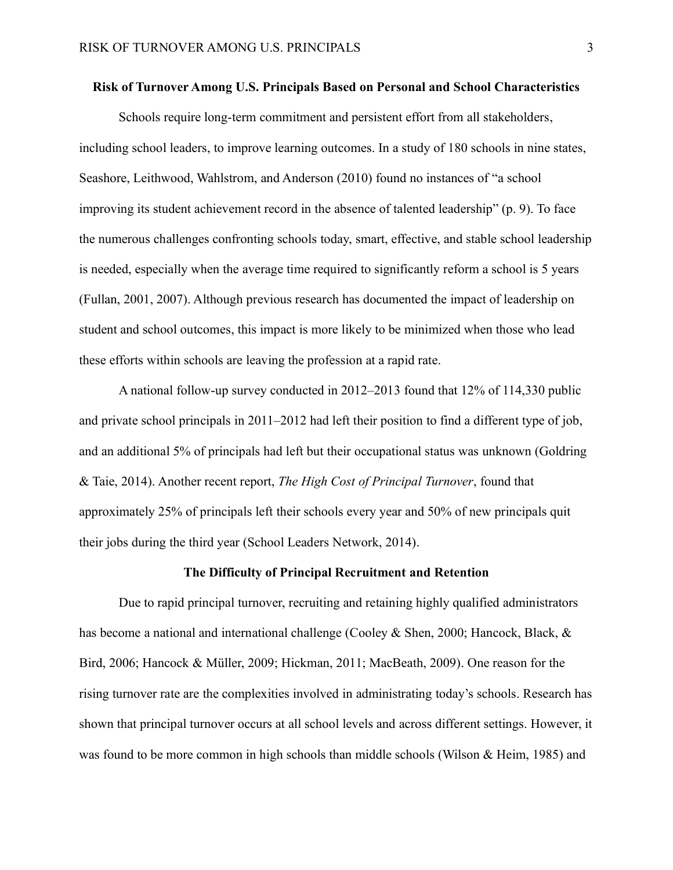#### **Risk of Turnover Among U.S. Principals Based on Personal and School Characteristics**

Schools require long-term commitment and persistent effort from all stakeholders, including school leaders, to improve learning outcomes. In a study of 180 schools in nine states, Seashore, Leithwood, Wahlstrom, and Anderson (2010) found no instances of "a school improving its student achievement record in the absence of talented leadership" (p. 9). To face the numerous challenges confronting schools today, smart, effective, and stable school leadership is needed, especially when the average time required to significantly reform a school is 5 years (Fullan, 2001, 2007). Although previous research has documented the impact of leadership on student and school outcomes, this impact is more likely to be minimized when those who lead these efforts within schools are leaving the profession at a rapid rate.

A national follow-up survey conducted in 2012–2013 found that 12% of 114,330 public and private school principals in 2011–2012 had left their position to find a different type of job, and an additional 5% of principals had left but their occupational status was unknown (Goldring & Taie, 2014). Another recent report, *The High Cost of Principal Turnover*, found that approximately 25% of principals left their schools every year and 50% of new principals quit their jobs during the third year (School Leaders Network, 2014).

#### **The Difficulty of Principal Recruitment and Retention**

Due to rapid principal turnover, recruiting and retaining highly qualified administrators has become a national and international challenge (Cooley & Shen, 2000; Hancock, Black, & Bird, 2006; Hancock & Müller, 2009; Hickman, 2011; MacBeath, 2009). One reason for the rising turnover rate are the complexities involved in administrating today's schools. Research has shown that principal turnover occurs at all school levels and across different settings. However, it was found to be more common in high schools than middle schools (Wilson & Heim, 1985) and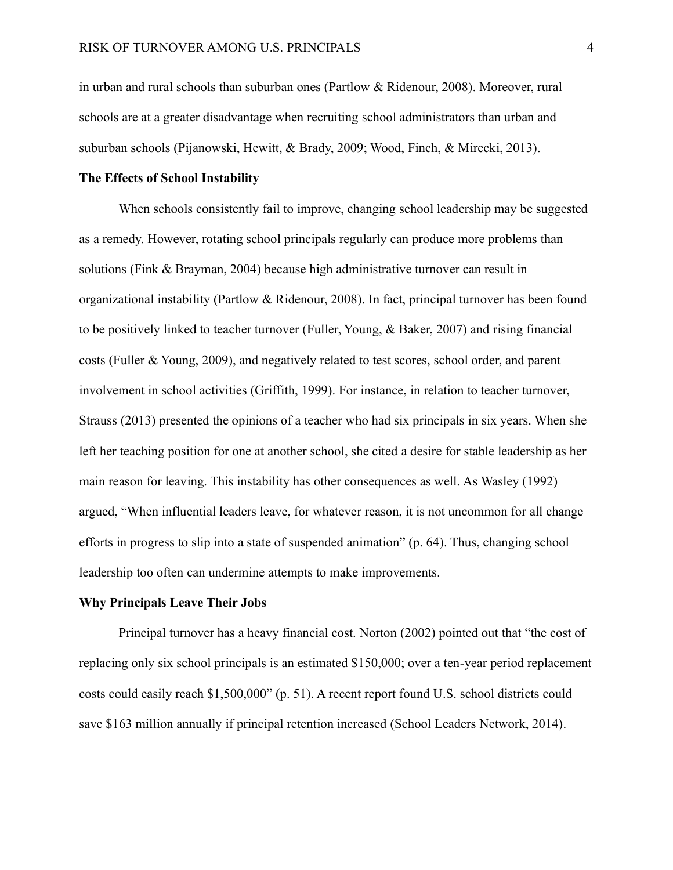in urban and rural schools than suburban ones (Partlow & Ridenour, 2008). Moreover, rural schools are at a greater disadvantage when recruiting school administrators than urban and suburban schools (Pijanowski, Hewitt, & Brady, 2009; Wood, Finch, & Mirecki, 2013).

### **The Effects of School Instability**

When schools consistently fail to improve, changing school leadership may be suggested as a remedy. However, rotating school principals regularly can produce more problems than solutions (Fink & Brayman, 2004) because high administrative turnover can result in organizational instability (Partlow & Ridenour, 2008). In fact, principal turnover has been found to be positively linked to teacher turnover (Fuller, Young, & Baker, 2007) and rising financial costs (Fuller & Young, 2009), and negatively related to test scores, school order, and parent involvement in school activities (Griffith, 1999). For instance, in relation to teacher turnover, Strauss (2013) presented the opinions of a teacher who had six principals in six years. When she left her teaching position for one at another school, she cited a desire for stable leadership as her main reason for leaving. This instability has other consequences as well. As Wasley (1992) argued, "When influential leaders leave, for whatever reason, it is not uncommon for all change efforts in progress to slip into a state of suspended animation" (p. 64). Thus, changing school leadership too often can undermine attempts to make improvements.

## **Why Principals Leave Their Jobs**

Principal turnover has a heavy financial cost. Norton (2002) pointed out that "the cost of replacing only six school principals is an estimated \$150,000; over a ten-year period replacement costs could easily reach \$1,500,000" (p. 51). A recent report found U.S. school districts could save \$163 million annually if principal retention increased (School Leaders Network, 2014).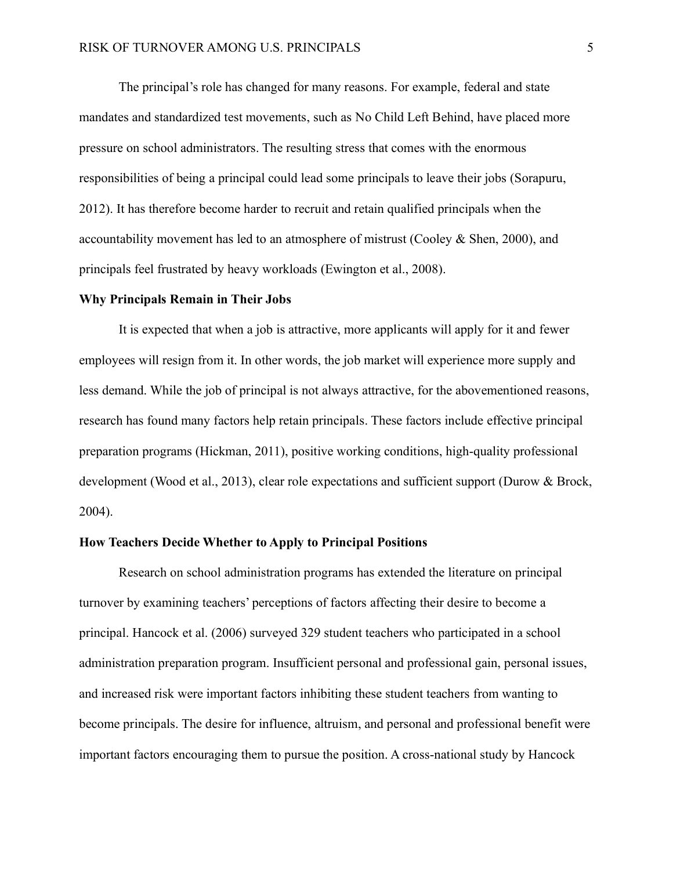The principal's role has changed for many reasons. For example, federal and state mandates and standardized test movements, such as No Child Left Behind, have placed more pressure on school administrators. The resulting stress that comes with the enormous responsibilities of being a principal could lead some principals to leave their jobs (Sorapuru, 2012). It has therefore become harder to recruit and retain qualified principals when the accountability movement has led to an atmosphere of mistrust (Cooley  $&$  Shen, 2000), and principals feel frustrated by heavy workloads (Ewington et al., 2008).

#### **Why Principals Remain in Their Jobs**

It is expected that when a job is attractive, more applicants will apply for it and fewer employees will resign from it. In other words, the job market will experience more supply and less demand. While the job of principal is not always attractive, for the abovementioned reasons, research has found many factors help retain principals. These factors include effective principal preparation programs (Hickman, 2011), positive working conditions, high-quality professional development (Wood et al., 2013), clear role expectations and sufficient support (Durow & Brock, 2004).

#### **How Teachers Decide Whether to Apply to Principal Positions**

Research on school administration programs has extended the literature on principal turnover by examining teachers' perceptions of factors affecting their desire to become a principal. Hancock et al. (2006) surveyed 329 student teachers who participated in a school administration preparation program. Insufficient personal and professional gain, personal issues, and increased risk were important factors inhibiting these student teachers from wanting to become principals. The desire for influence, altruism, and personal and professional benefit were important factors encouraging them to pursue the position. A cross-national study by Hancock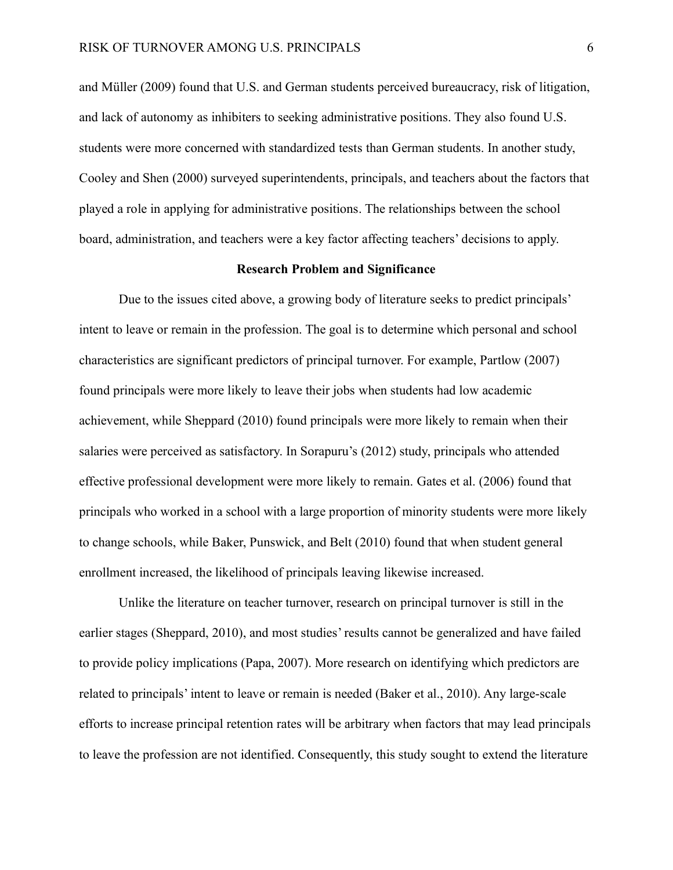and Müller (2009) found that U.S. and German students perceived bureaucracy, risk of litigation, and lack of autonomy as inhibiters to seeking administrative positions. They also found U.S. students were more concerned with standardized tests than German students. In another study, Cooley and Shen (2000) surveyed superintendents, principals, and teachers about the factors that played a role in applying for administrative positions. The relationships between the school board, administration, and teachers were a key factor affecting teachers' decisions to apply.

#### **Research Problem and Significance**

Due to the issues cited above, a growing body of literature seeks to predict principals' intent to leave or remain in the profession. The goal is to determine which personal and school characteristics are significant predictors of principal turnover. For example, Partlow (2007) found principals were more likely to leave their jobs when students had low academic achievement, while Sheppard (2010) found principals were more likely to remain when their salaries were perceived as satisfactory. In Sorapuru's (2012) study, principals who attended effective professional development were more likely to remain. Gates et al. (2006) found that principals who worked in a school with a large proportion of minority students were more likely to change schools, while Baker, Punswick, and Belt (2010) found that when student general enrollment increased, the likelihood of principals leaving likewise increased.

Unlike the literature on teacher turnover, research on principal turnover is still in the earlier stages (Sheppard, 2010), and most studies' results cannot be generalized and have failed to provide policy implications (Papa, 2007). More research on identifying which predictors are related to principals' intent to leave or remain is needed (Baker et al., 2010). Any large-scale efforts to increase principal retention rates will be arbitrary when factors that may lead principals to leave the profession are not identified. Consequently, this study sought to extend the literature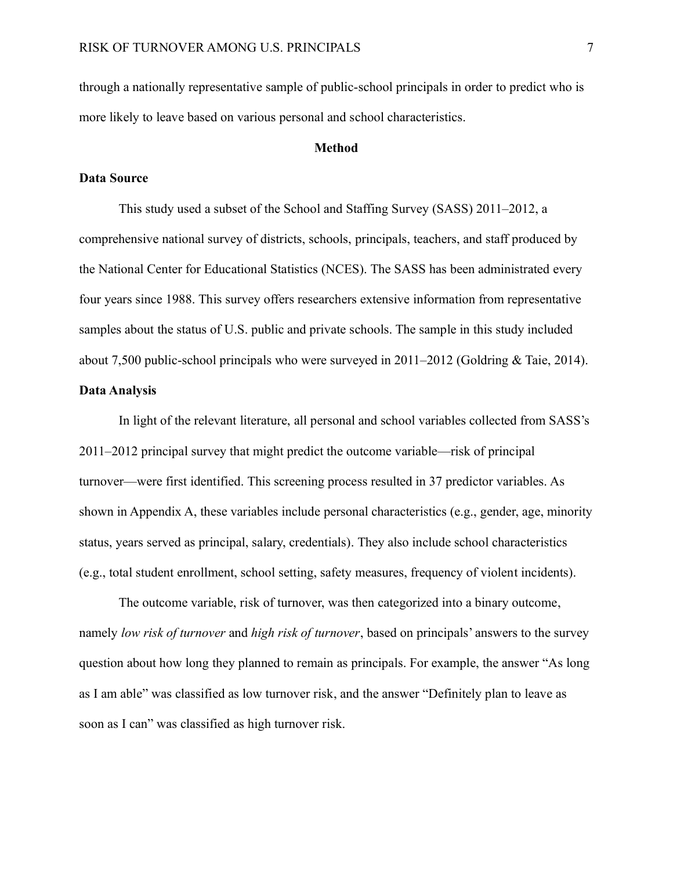through a nationally representative sample of public-school principals in order to predict who is more likely to leave based on various personal and school characteristics.

### **Method**

#### **Data Source**

This study used a subset of the School and Staffing Survey (SASS) 2011–2012, a comprehensive national survey of districts, schools, principals, teachers, and staff produced by the National Center for Educational Statistics (NCES). The SASS has been administrated every four years since 1988. This survey offers researchers extensive information from representative samples about the status of U.S. public and private schools. The sample in this study included about 7,500 public-school principals who were surveyed in 2011–2012 (Goldring & Taie, 2014).

# **Data Analysis**

In light of the relevant literature, all personal and school variables collected from SASS's 2011–2012 principal survey that might predict the outcome variable—risk of principal turnover—were first identified. This screening process resulted in 37 predictor variables. As shown in Appendix A, these variables include personal characteristics (e.g., gender, age, minority status, years served as principal, salary, credentials). They also include school characteristics (e.g., total student enrollment, school setting, safety measures, frequency of violent incidents).

The outcome variable, risk of turnover, was then categorized into a binary outcome, namely *low risk of turnover* and *high risk of turnover*, based on principals' answers to the survey question about how long they planned to remain as principals. For example, the answer "As long as I am able" was classified as low turnover risk, and the answer "Definitely plan to leave as soon as I can" was classified as high turnover risk.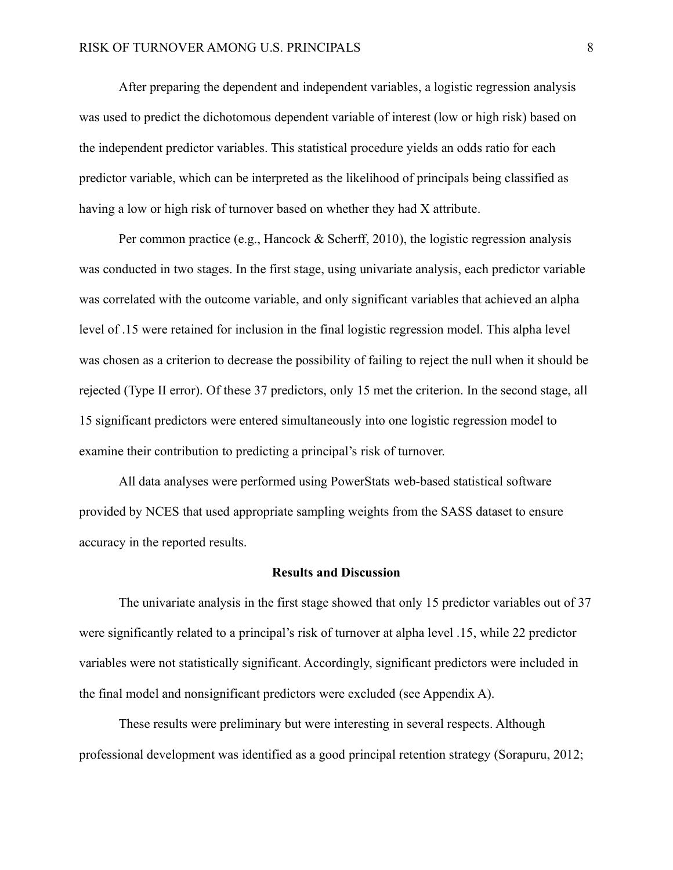After preparing the dependent and independent variables, a logistic regression analysis was used to predict the dichotomous dependent variable of interest (low or high risk) based on the independent predictor variables. This statistical procedure yields an odds ratio for each predictor variable, which can be interpreted as the likelihood of principals being classified as having a low or high risk of turnover based on whether they had X attribute.

Per common practice (e.g., Hancock & Scherff, 2010), the logistic regression analysis was conducted in two stages. In the first stage, using univariate analysis, each predictor variable was correlated with the outcome variable, and only significant variables that achieved an alpha level of .15 were retained for inclusion in the final logistic regression model. This alpha level was chosen as a criterion to decrease the possibility of failing to reject the null when it should be rejected (Type II error). Of these 37 predictors, only 15 met the criterion. In the second stage, all 15 significant predictors were entered simultaneously into one logistic regression model to examine their contribution to predicting a principal's risk of turnover.

All data analyses were performed using PowerStats web-based statistical software provided by NCES that used appropriate sampling weights from the SASS dataset to ensure accuracy in the reported results.

#### **Results and Discussion**

The univariate analysis in the first stage showed that only 15 predictor variables out of 37 were significantly related to a principal's risk of turnover at alpha level .15, while 22 predictor variables were not statistically significant. Accordingly, significant predictors were included in the final model and nonsignificant predictors were excluded (see Appendix A).

These results were preliminary but were interesting in several respects. Although professional development was identified as a good principal retention strategy (Sorapuru, 2012;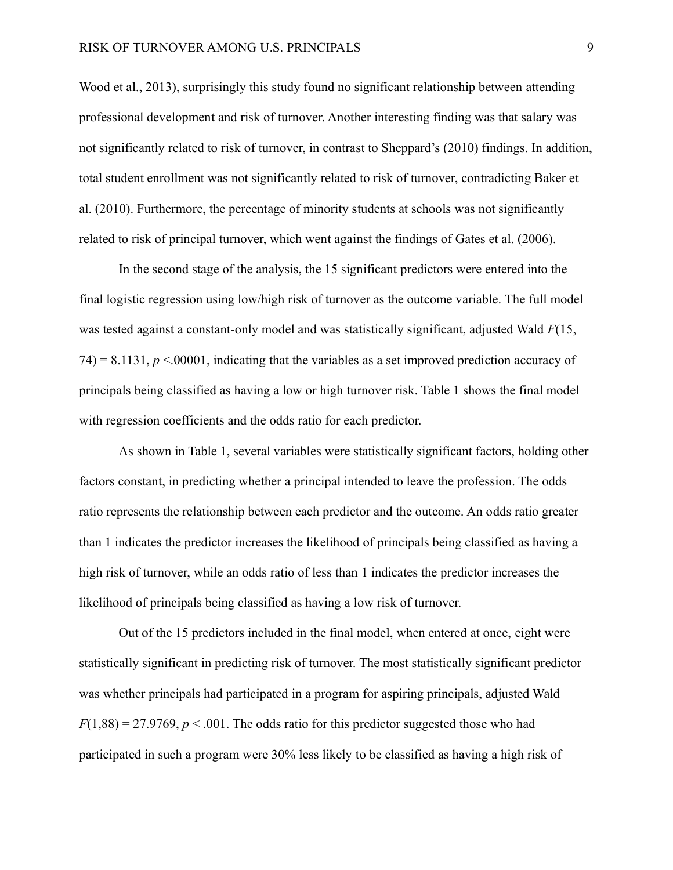Wood et al., 2013), surprisingly this study found no significant relationship between attending professional development and risk of turnover. Another interesting finding was that salary was not significantly related to risk of turnover, in contrast to Sheppard's (2010) findings. In addition, total student enrollment was not significantly related to risk of turnover, contradicting Baker et al. (2010). Furthermore, the percentage of minority students at schools was not significantly related to risk of principal turnover, which went against the findings of Gates et al. (2006).

In the second stage of the analysis, the 15 significant predictors were entered into the final logistic regression using low/high risk of turnover as the outcome variable. The full model was tested against a constant-only model and was statistically significant, adjusted Wald *F*(15,  $74$ ) = 8.1131,  $p < 00001$ , indicating that the variables as a set improved prediction accuracy of principals being classified as having a low or high turnover risk. Table 1 shows the final model with regression coefficients and the odds ratio for each predictor.

As shown in Table 1, several variables were statistically significant factors, holding other factors constant, in predicting whether a principal intended to leave the profession. The odds ratio represents the relationship between each predictor and the outcome. An odds ratio greater than 1 indicates the predictor increases the likelihood of principals being classified as having a high risk of turnover, while an odds ratio of less than 1 indicates the predictor increases the likelihood of principals being classified as having a low risk of turnover.

Out of the 15 predictors included in the final model, when entered at once, eight were statistically significant in predicting risk of turnover. The most statistically significant predictor was whether principals had participated in a program for aspiring principals, adjusted Wald  $F(1,88) = 27.9769, p < .001$ . The odds ratio for this predictor suggested those who had participated in such a program were 30% less likely to be classified as having a high risk of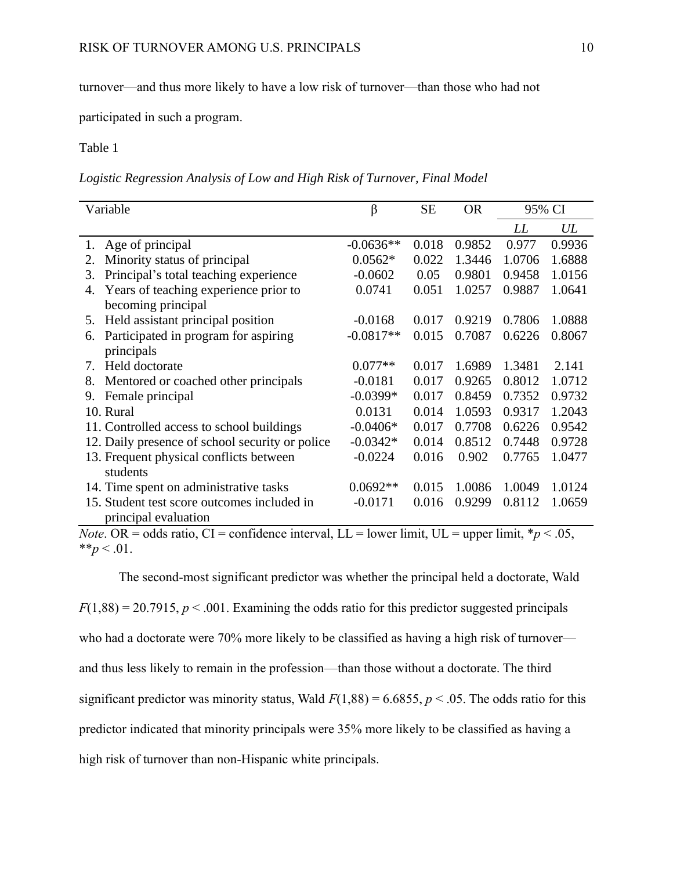turnover—and thus more likely to have a low risk of turnover—than those who had not

participated in such a program.

Table 1

*Logistic Regression Analysis of Low and High Risk of Turnover, Final Model*

| Variable                                        | $\beta$     | <b>SE</b> | <b>OR</b> | 95% CI |        |
|-------------------------------------------------|-------------|-----------|-----------|--------|--------|
|                                                 |             |           |           | LL     | UL     |
| 1. Age of principal                             | $-0.0636**$ | 0.018     | 0.9852    | 0.977  | 0.9936 |
| Minority status of principal<br>2.              | $0.0562*$   | 0.022     | 1.3446    | 1.0706 | 1.6888 |
| Principal's total teaching experience<br>3.     | $-0.0602$   | 0.05      | 0.9801    | 0.9458 | 1.0156 |
| Years of teaching experience prior to<br>4.     | 0.0741      | 0.051     | 1.0257    | 0.9887 | 1.0641 |
| becoming principal                              |             |           |           |        |        |
| Held assistant principal position<br>5.         | $-0.0168$   | 0.017     | 0.9219    | 0.7806 | 1.0888 |
| Participated in program for aspiring<br>6.      | $-0.0817**$ | 0.015     | 0.7087    | 0.6226 | 0.8067 |
| principals                                      |             |           |           |        |        |
| Held doctorate<br>7.                            | $0.077**$   | 0.017     | 1.6989    | 1.3481 | 2.141  |
| Mentored or coached other principals<br>8.      | $-0.0181$   | 0.017     | 0.9265    | 0.8012 | 1.0712 |
| Female principal<br>9.                          | $-0.0399*$  | 0.017     | 0.8459    | 0.7352 | 0.9732 |
| 10. Rural                                       | 0.0131      | 0.014     | 1.0593    | 0.9317 | 1.2043 |
| 11. Controlled access to school buildings       | $-0.0406*$  | 0.017     | 0.7708    | 0.6226 | 0.9542 |
| 12. Daily presence of school security or police | $-0.0342*$  | 0.014     | 0.8512    | 0.7448 | 0.9728 |
| 13. Frequent physical conflicts between         | $-0.0224$   | 0.016     | 0.902     | 0.7765 | 1.0477 |
| students                                        |             |           |           |        |        |
| 14. Time spent on administrative tasks          | $0.0692**$  | 0.015     | 1.0086    | 1.0049 | 1.0124 |
| 15. Student test score outcomes included in     | $-0.0171$   | 0.016     | 0.9299    | 0.8112 | 1.0659 |
| principal evaluation                            |             |           |           |        |        |

*Note*. OR = odds ratio, CI = confidence interval, LL = lower limit, UL = upper limit,  $* p < .05$ , \*\* $p < .01$ .

The second-most significant predictor was whether the principal held a doctorate, Wald  $F(1,88) = 20.7915$ ,  $p < .001$ . Examining the odds ratio for this predictor suggested principals who had a doctorate were 70% more likely to be classified as having a high risk of turnover and thus less likely to remain in the profession—than those without a doctorate. The third significant predictor was minority status, Wald  $F(1,88) = 6.6855$ ,  $p < .05$ . The odds ratio for this predictor indicated that minority principals were 35% more likely to be classified as having a high risk of turnover than non-Hispanic white principals.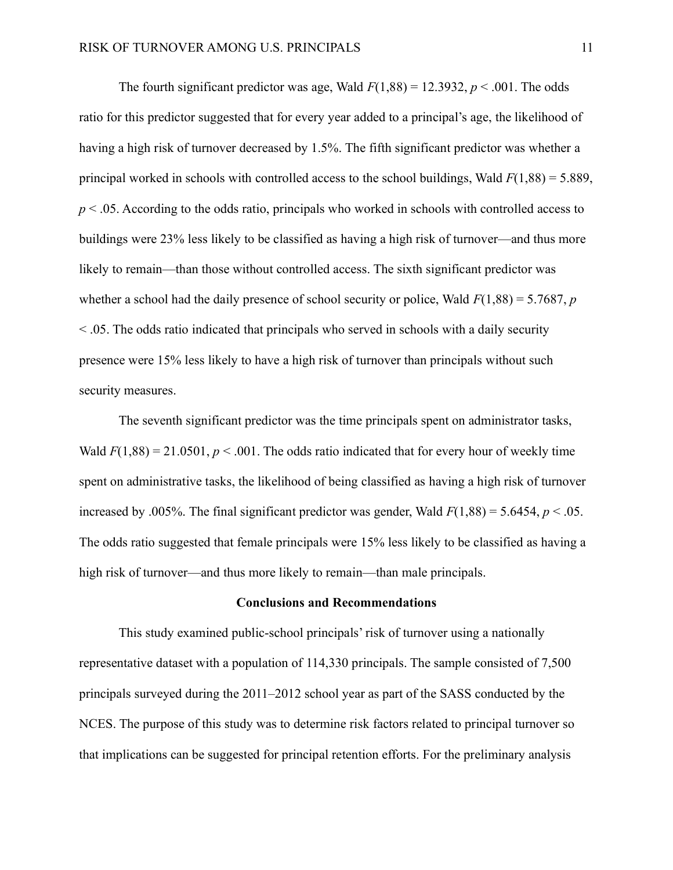The fourth significant predictor was age, Wald  $F(1,88) = 12.3932$ ,  $p < .001$ . The odds ratio for this predictor suggested that for every year added to a principal's age, the likelihood of having a high risk of turnover decreased by 1.5%. The fifth significant predictor was whether a principal worked in schools with controlled access to the school buildings, Wald *F*(1,88) = 5.889, *p* < .05. According to the odds ratio, principals who worked in schools with controlled access to buildings were 23% less likely to be classified as having a high risk of turnover—and thus more likely to remain—than those without controlled access. The sixth significant predictor was whether a school had the daily presence of school security or police, Wald *F*(1,88) = 5.7687, *p* < .05. The odds ratio indicated that principals who served in schools with a daily security presence were 15% less likely to have a high risk of turnover than principals without such security measures.

The seventh significant predictor was the time principals spent on administrator tasks, Wald  $F(1,88) = 21.0501$ ,  $p < .001$ . The odds ratio indicated that for every hour of weekly time spent on administrative tasks, the likelihood of being classified as having a high risk of turnover increased by .005%. The final significant predictor was gender, Wald  $F(1,88) = 5.6454$ ,  $p < .05$ . The odds ratio suggested that female principals were 15% less likely to be classified as having a high risk of turnover—and thus more likely to remain—than male principals.

#### **Conclusions and Recommendations**

This study examined public-school principals' risk of turnover using a nationally representative dataset with a population of 114,330 principals. The sample consisted of 7,500 principals surveyed during the 2011–2012 school year as part of the SASS conducted by the NCES. The purpose of this study was to determine risk factors related to principal turnover so that implications can be suggested for principal retention efforts. For the preliminary analysis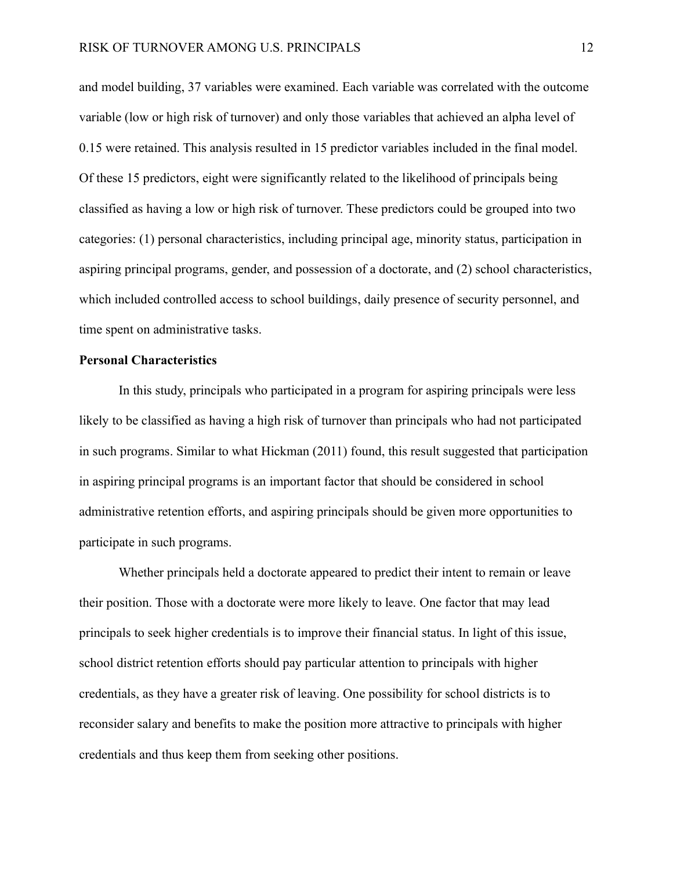and model building, 37 variables were examined. Each variable was correlated with the outcome variable (low or high risk of turnover) and only those variables that achieved an alpha level of 0.15 were retained. This analysis resulted in 15 predictor variables included in the final model. Of these 15 predictors, eight were significantly related to the likelihood of principals being classified as having a low or high risk of turnover. These predictors could be grouped into two categories: (1) personal characteristics, including principal age, minority status, participation in aspiring principal programs, gender, and possession of a doctorate, and (2) school characteristics, which included controlled access to school buildings, daily presence of security personnel, and time spent on administrative tasks.

## **Personal Characteristics**

In this study, principals who participated in a program for aspiring principals were less likely to be classified as having a high risk of turnover than principals who had not participated in such programs. Similar to what Hickman (2011) found, this result suggested that participation in aspiring principal programs is an important factor that should be considered in school administrative retention efforts, and aspiring principals should be given more opportunities to participate in such programs.

Whether principals held a doctorate appeared to predict their intent to remain or leave their position. Those with a doctorate were more likely to leave. One factor that may lead principals to seek higher credentials is to improve their financial status. In light of this issue, school district retention efforts should pay particular attention to principals with higher credentials, as they have a greater risk of leaving. One possibility for school districts is to reconsider salary and benefits to make the position more attractive to principals with higher credentials and thus keep them from seeking other positions.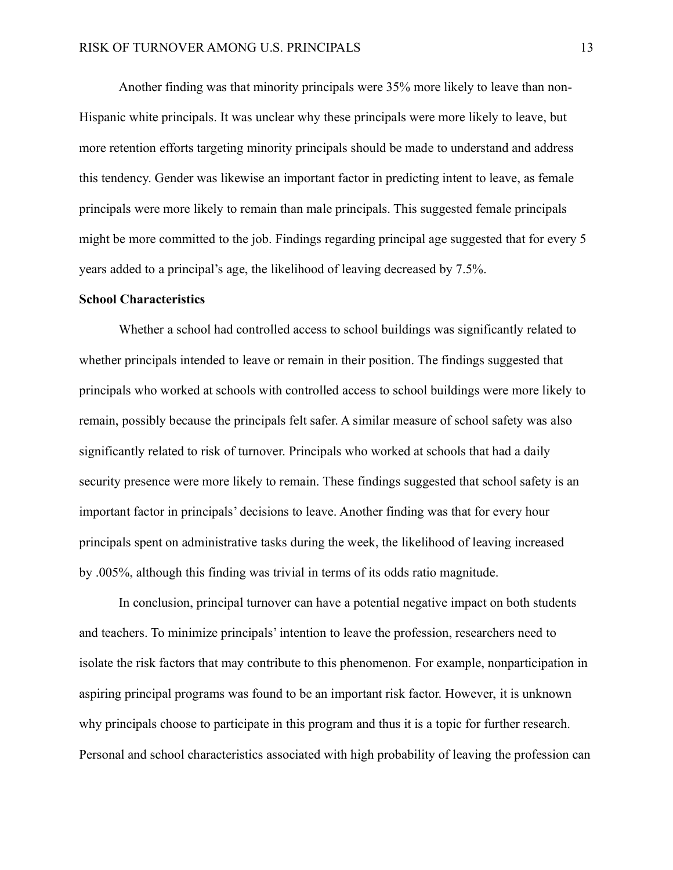Another finding was that minority principals were 35% more likely to leave than non-Hispanic white principals. It was unclear why these principals were more likely to leave, but more retention efforts targeting minority principals should be made to understand and address this tendency. Gender was likewise an important factor in predicting intent to leave, as female principals were more likely to remain than male principals. This suggested female principals might be more committed to the job. Findings regarding principal age suggested that for every 5 years added to a principal's age, the likelihood of leaving decreased by 7.5%.

#### **School Characteristics**

Whether a school had controlled access to school buildings was significantly related to whether principals intended to leave or remain in their position. The findings suggested that principals who worked at schools with controlled access to school buildings were more likely to remain, possibly because the principals felt safer. A similar measure of school safety was also significantly related to risk of turnover. Principals who worked at schools that had a daily security presence were more likely to remain. These findings suggested that school safety is an important factor in principals' decisions to leave. Another finding was that for every hour principals spent on administrative tasks during the week, the likelihood of leaving increased by .005%, although this finding was trivial in terms of its odds ratio magnitude.

In conclusion, principal turnover can have a potential negative impact on both students and teachers. To minimize principals' intention to leave the profession, researchers need to isolate the risk factors that may contribute to this phenomenon. For example, nonparticipation in aspiring principal programs was found to be an important risk factor. However, it is unknown why principals choose to participate in this program and thus it is a topic for further research. Personal and school characteristics associated with high probability of leaving the profession can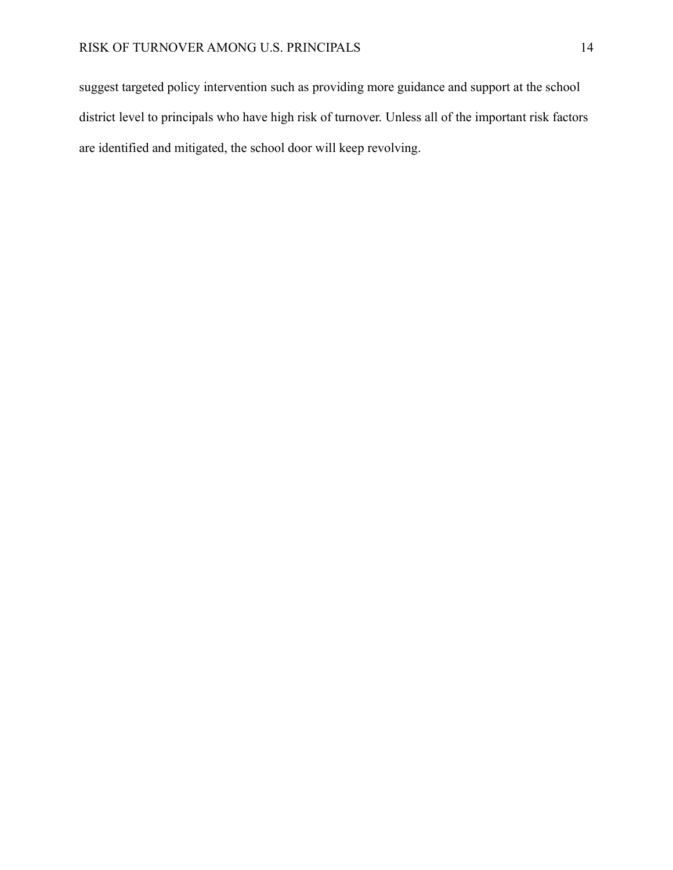suggest targeted policy intervention such as providing more guidance and support at the school district level to principals who have high risk of turnover. Unless all of the important risk factors are identified and mitigated, the school door will keep revolving.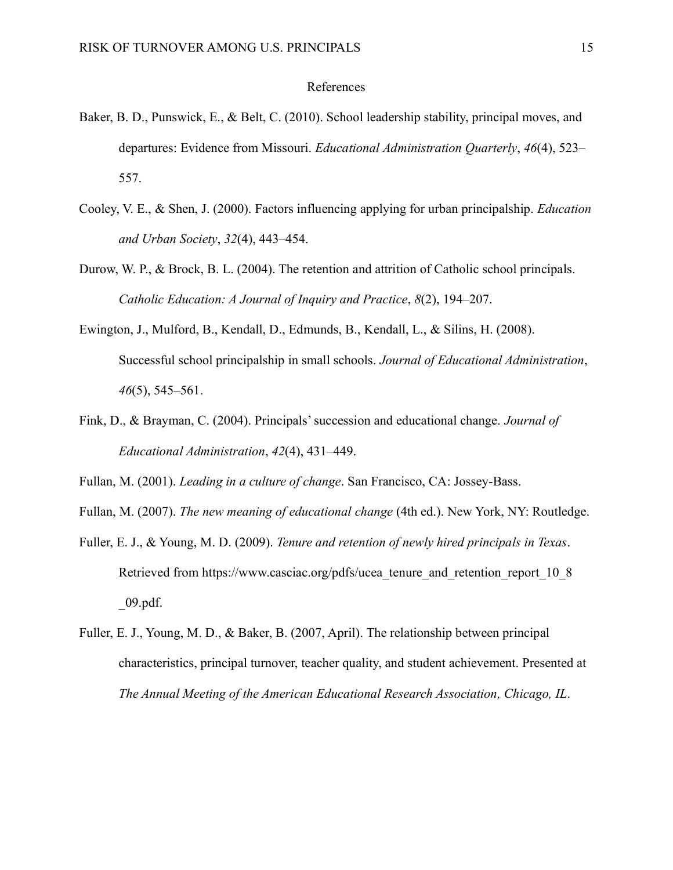#### References

- Baker, B. D., Punswick, E., & Belt, C. (2010). School leadership stability, principal moves, and departures: Evidence from Missouri. *Educational Administration Quarterly*, *46*(4), 523– 557.
- Cooley, V. E., & Shen, J. (2000). Factors influencing applying for urban principalship. *Education and Urban Society*, *32*(4), 443–454.
- Durow, W. P., & Brock, B. L. (2004). The retention and attrition of Catholic school principals. *Catholic Education: A Journal of Inquiry and Practice*, *8*(2), 194–207.
- Ewington, J., Mulford, B., Kendall, D., Edmunds, B., Kendall, L., & Silins, H. (2008). Successful school principalship in small schools. *Journal of Educational Administration*, *46*(5), 545–561.
- Fink, D., & Brayman, C. (2004). Principals' succession and educational change. *Journal of Educational Administration*, *42*(4), 431–449.
- Fullan, M. (2001). *Leading in a culture of change*. San Francisco, CA: Jossey-Bass.
- Fullan, M. (2007). *The new meaning of educational change* (4th ed.). New York, NY: Routledge.
- Fuller, E. J., & Young, M. D. (2009). *Tenure and retention of newly hired principals in Texas*. Retrieved from https://www.casciac.org/pdfs/ucea\_tenure\_and\_retention\_report\_10\_8  $\_\,\,09.$ pdf.
- Fuller, E. J., Young, M. D., & Baker, B. (2007, April). The relationship between principal characteristics, principal turnover, teacher quality, and student achievement. Presented at *The Annual Meeting of the American Educational Research Association, Chicago, IL*.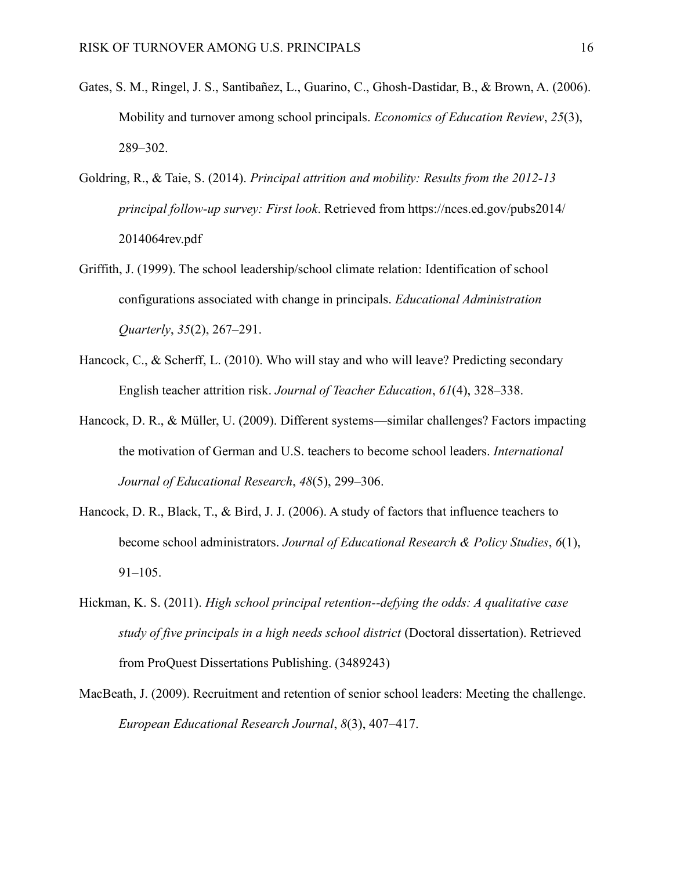- Gates, S. M., Ringel, J. S., Santibañez, L., Guarino, C., Ghosh-Dastidar, B., & Brown, A. (2006). Mobility and turnover among school principals. *Economics of Education Review*, *25*(3), 289–302.
- Goldring, R., & Taie, S. (2014). *Principal attrition and mobility: Results from the 2012-13 principal follow-up survey: First look*. Retrieved from https://nces.ed.gov/pubs2014/ 2014064rev.pdf
- Griffith, J. (1999). The school leadership/school climate relation: Identification of school configurations associated with change in principals. *Educational Administration Quarterly*, *35*(2), 267–291.
- Hancock, C., & Scherff, L. (2010). Who will stay and who will leave? Predicting secondary English teacher attrition risk. *Journal of Teacher Education*, *61*(4), 328–338.
- Hancock, D. R., & Müller, U. (2009). Different systems—similar challenges? Factors impacting the motivation of German and U.S. teachers to become school leaders. *International Journal of Educational Research*, *48*(5), 299–306.
- Hancock, D. R., Black, T., & Bird, J. J. (2006). A study of factors that influence teachers to become school administrators. *Journal of Educational Research & Policy Studies*, *6*(1), 91–105.
- Hickman, K. S. (2011). *High school principal retention--defying the odds: A qualitative case study of five principals in a high needs school district* (Doctoral dissertation). Retrieved from ProQuest Dissertations Publishing. (3489243)
- MacBeath, J. (2009). Recruitment and retention of senior school leaders: Meeting the challenge. *European Educational Research Journal*, *8*(3), 407–417.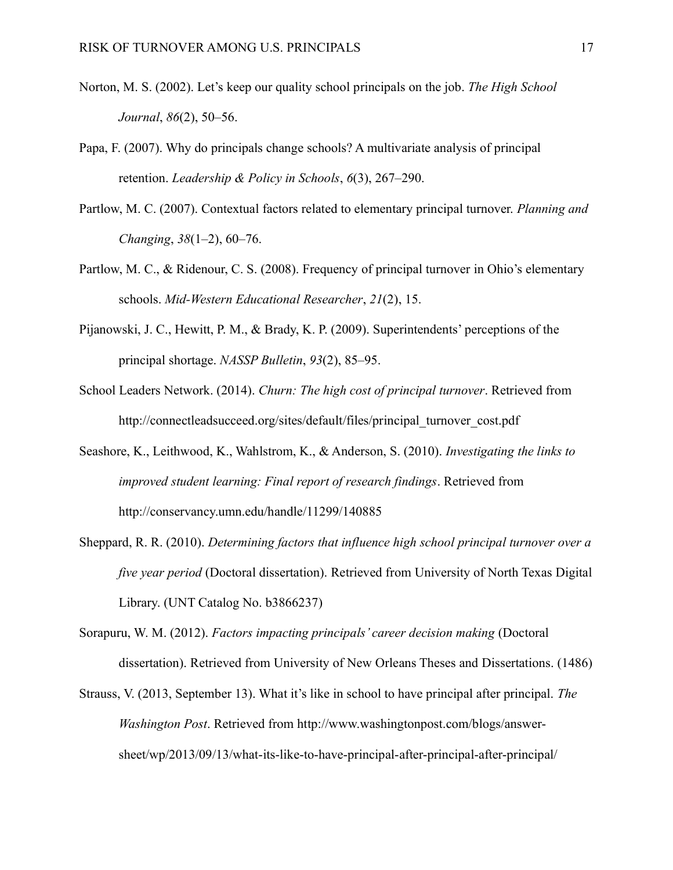- Norton, M. S. (2002). Let's keep our quality school principals on the job. *The High School Journal*, *86*(2), 50–56.
- Papa, F. (2007). Why do principals change schools? A multivariate analysis of principal retention. *Leadership & Policy in Schools*, *6*(3), 267–290.
- Partlow, M. C. (2007). Contextual factors related to elementary principal turnover. *Planning and Changing*, *38*(1–2), 60–76.
- Partlow, M. C., & Ridenour, C. S. (2008). Frequency of principal turnover in Ohio's elementary schools. *Mid-Western Educational Researcher*, *21*(2), 15.
- Pijanowski, J. C., Hewitt, P. M., & Brady, K. P. (2009). Superintendents' perceptions of the principal shortage. *NASSP Bulletin*, *93*(2), 85–95.
- School Leaders Network. (2014). *Churn: The high cost of principal turnover*. Retrieved from http://connectleadsucceed.org/sites/default/files/principal\_turnover\_cost.pdf
- Seashore, K., Leithwood, K., Wahlstrom, K., & Anderson, S. (2010). *Investigating the links to improved student learning: Final report of research findings*. Retrieved from http://conservancy.umn.edu/handle/11299/140885
- Sheppard, R. R. (2010). *Determining factors that influence high school principal turnover over a five year period* (Doctoral dissertation). Retrieved from University of North Texas Digital Library. (UNT Catalog No. b3866237)
- Sorapuru, W. M. (2012). *Factors impacting principals' career decision making* (Doctoral dissertation). Retrieved from University of New Orleans Theses and Dissertations. (1486)
- Strauss, V. (2013, September 13). What it's like in school to have principal after principal. *The Washington Post*. Retrieved from http://www.washingtonpost.com/blogs/answersheet/wp/2013/09/13/what-its-like-to-have-principal-after-principal-after-principal/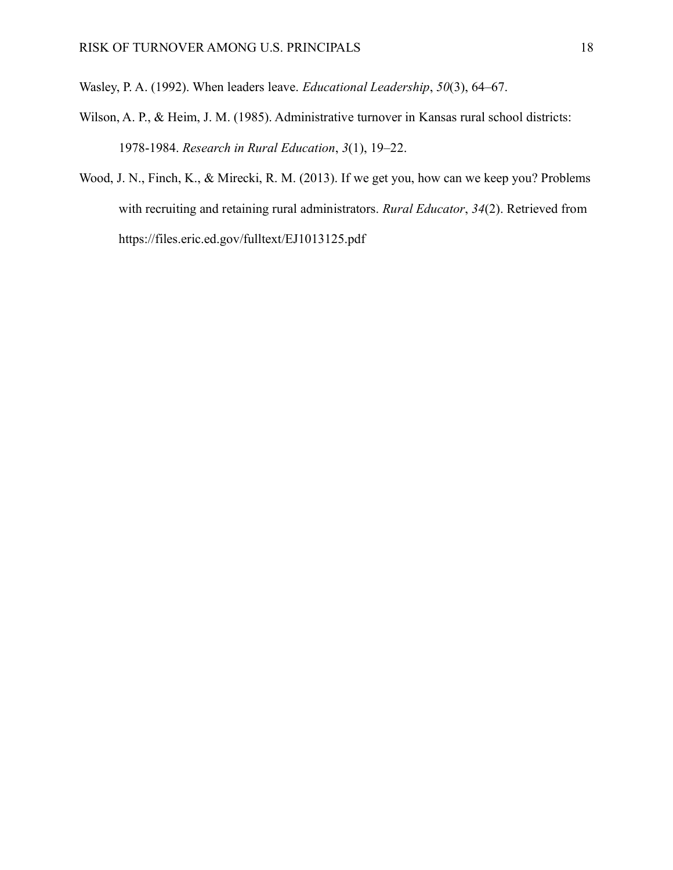Wasley, P. A. (1992). When leaders leave. *Educational Leadership*, *50*(3), 64–67.

- Wilson, A. P., & Heim, J. M. (1985). Administrative turnover in Kansas rural school districts: 1978-1984. *Research in Rural Education*, *3*(1), 19–22.
- Wood, J. N., Finch, K., & Mirecki, R. M. (2013). If we get you, how can we keep you? Problems with recruiting and retaining rural administrators. *Rural Educator*, *34*(2). Retrieved from https://files.eric.ed.gov/fulltext/EJ1013125.pdf